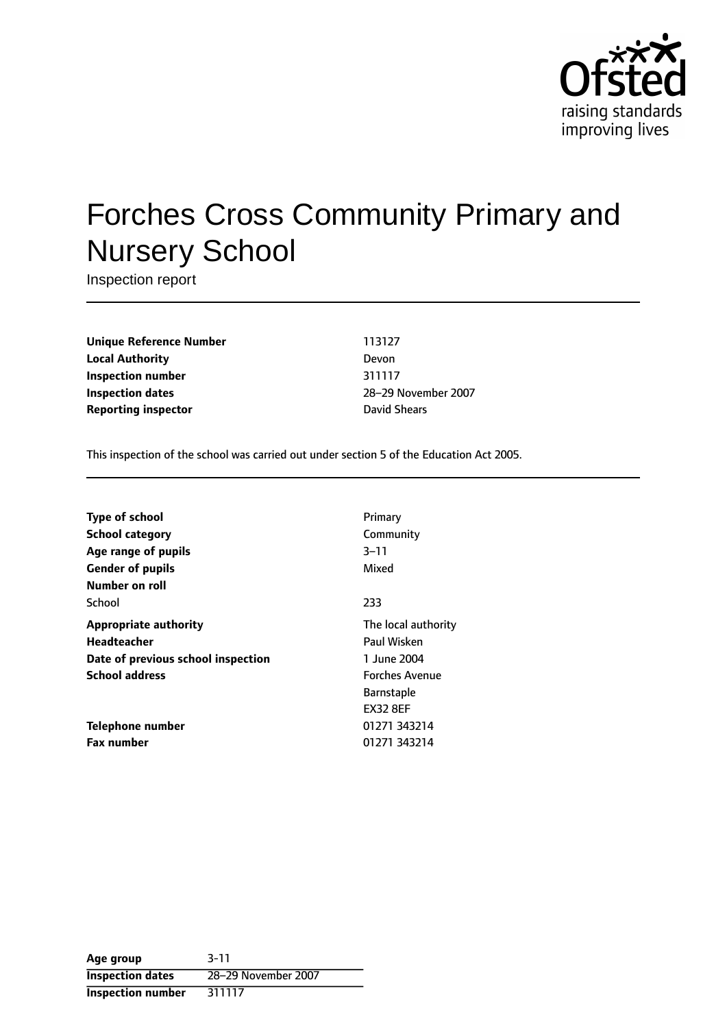

# Forches Cross Community Primary and Nursery School

Inspection report

**Unique Reference Number** 113127 **Local Authority** Devon **Inspection number** 311117 **Inspection dates** 28-29 November 2007 **Reporting inspector David Shears** 

This inspection of the school was carried out under section 5 of the Education Act 2005.

| <b>Type of school</b>              | Primary               |
|------------------------------------|-----------------------|
| <b>School category</b>             | Community             |
| Age range of pupils                | 3–11                  |
| <b>Gender of pupils</b>            | Mixed                 |
| Number on roll                     |                       |
| School                             | 233                   |
| <b>Appropriate authority</b>       | The local authority   |
| Headteacher                        | Paul Wisken           |
| Date of previous school inspection | 1 June 2004           |
| <b>School address</b>              | <b>Forches Avenue</b> |
|                                    | <b>Barnstaple</b>     |
|                                    | <b>EX32 8EF</b>       |
| Telephone number                   | 01271 343214          |
| <b>Fax number</b>                  | 01271 343214          |

**Age group** 3-11 **Inspection dates** 28-29 November 2007 **Inspection number** 311117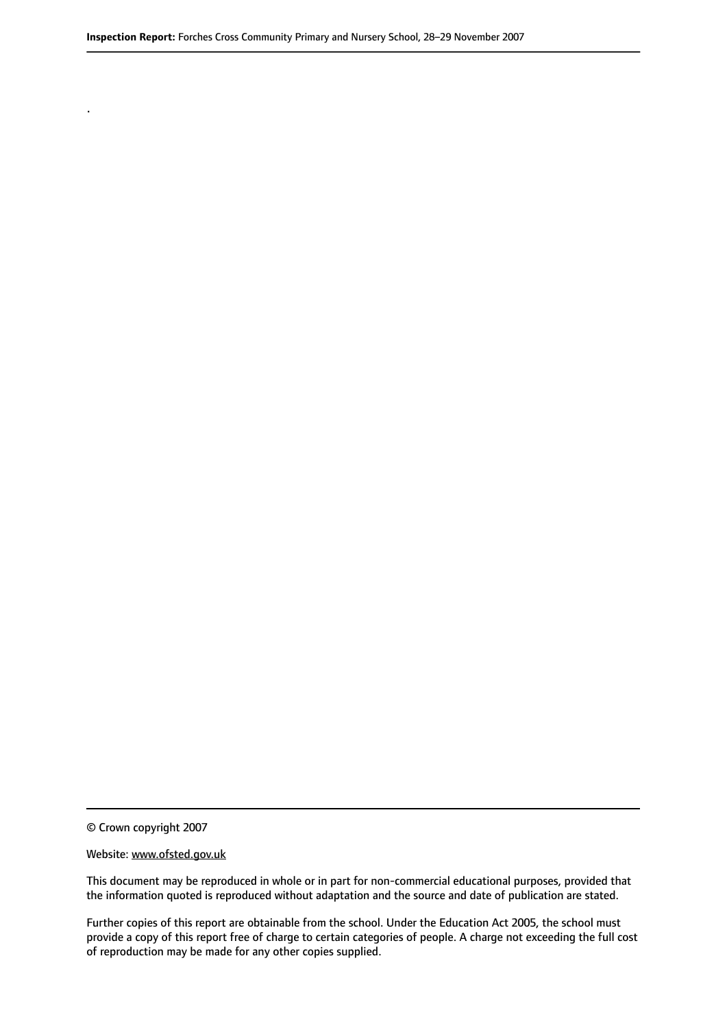© Crown copyright 2007

.

#### Website: www.ofsted.gov.uk

This document may be reproduced in whole or in part for non-commercial educational purposes, provided that the information quoted is reproduced without adaptation and the source and date of publication are stated.

Further copies of this report are obtainable from the school. Under the Education Act 2005, the school must provide a copy of this report free of charge to certain categories of people. A charge not exceeding the full cost of reproduction may be made for any other copies supplied.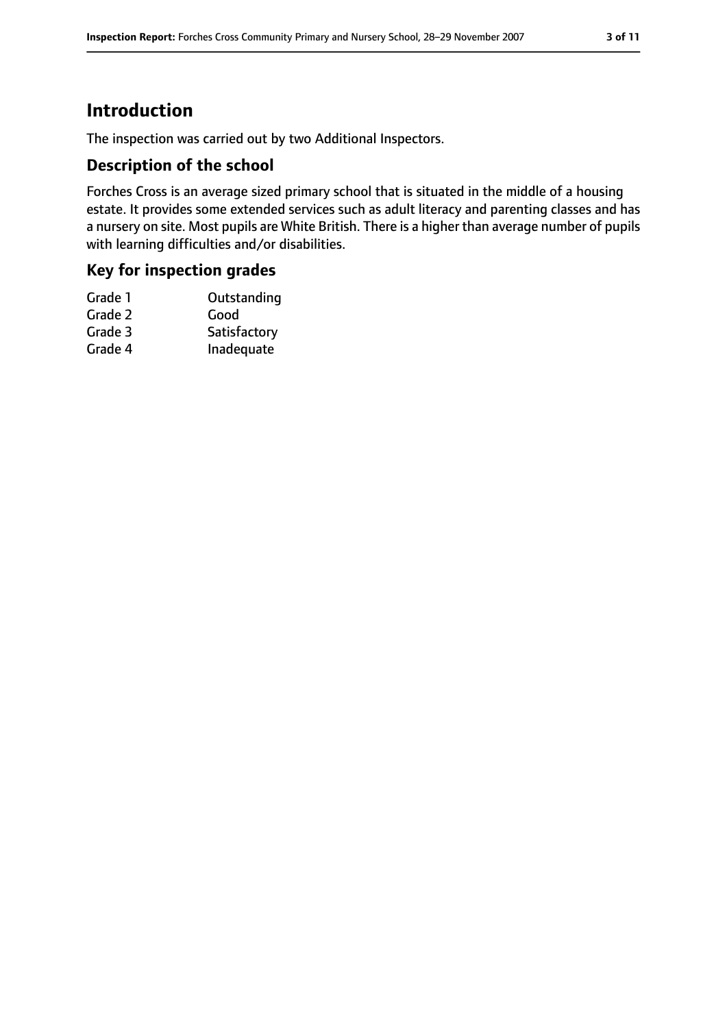# **Introduction**

The inspection was carried out by two Additional Inspectors.

#### **Description of the school**

Forches Cross is an average sized primary school that is situated in the middle of a housing estate. It provides some extended services such as adult literacy and parenting classes and has a nursery on site. Most pupils are White British. There is a higher than average number of pupils with learning difficulties and/or disabilities.

#### **Key for inspection grades**

| Satisfactory |
|--------------|
| Inadequate   |
|              |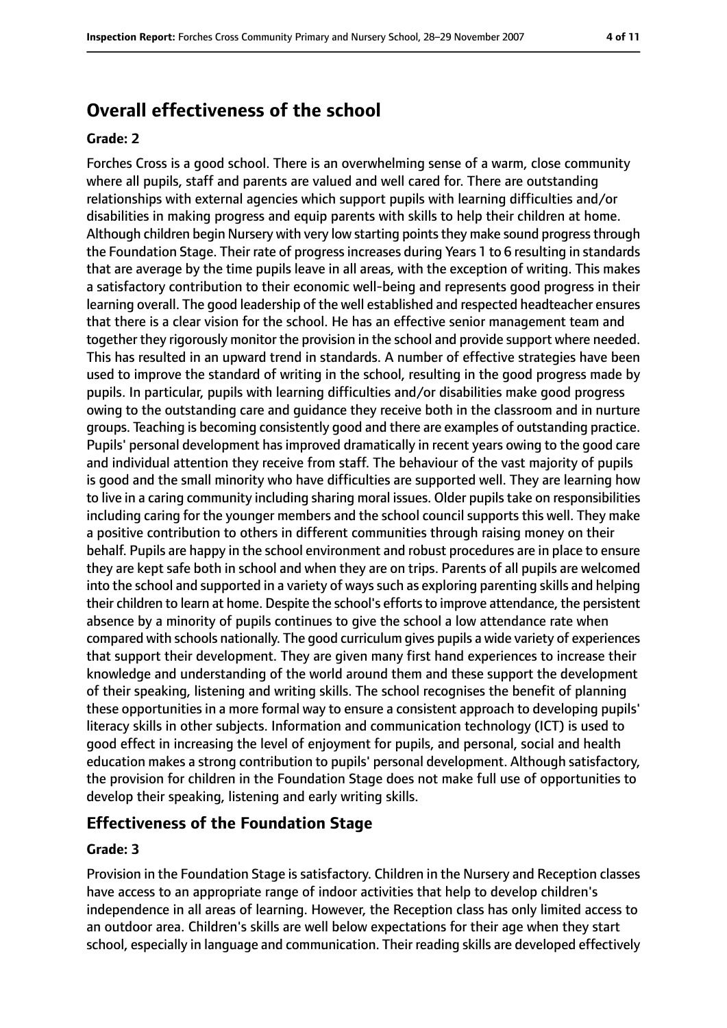# **Overall effectiveness of the school**

#### **Grade: 2**

Forches Cross is a good school. There is an overwhelming sense of a warm, close community where all pupils, staff and parents are valued and well cared for. There are outstanding relationships with external agencies which support pupils with learning difficulties and/or disabilities in making progress and equip parents with skills to help their children at home. Although children begin Nursery with very low starting points they make sound progress through the Foundation Stage. Their rate of progressincreases during Years 1 to 6 resulting in standards that are average by the time pupils leave in all areas, with the exception of writing. This makes a satisfactory contribution to their economic well-being and represents good progress in their learning overall. The good leadership of the well established and respected headteacher ensures that there is a clear vision for the school. He has an effective senior management team and together they rigorously monitor the provision in the school and provide support where needed. This has resulted in an upward trend in standards. A number of effective strategies have been used to improve the standard of writing in the school, resulting in the good progress made by pupils. In particular, pupils with learning difficulties and/or disabilities make good progress owing to the outstanding care and guidance they receive both in the classroom and in nurture groups. Teaching is becoming consistently good and there are examples of outstanding practice. Pupils' personal development has improved dramatically in recent years owing to the good care and individual attention they receive from staff. The behaviour of the vast majority of pupils is good and the small minority who have difficulties are supported well. They are learning how to live in a caring community including sharing moral issues. Older pupils take on responsibilities including caring for the younger members and the school council supports this well. They make a positive contribution to others in different communities through raising money on their behalf. Pupils are happy in the school environment and robust procedures are in place to ensure they are kept safe both in school and when they are on trips. Parents of all pupils are welcomed into the school and supported in a variety of ways such as exploring parenting skills and helping their children to learn at home. Despite the school's efforts to improve attendance, the persistent absence by a minority of pupils continues to give the school a low attendance rate when compared with schools nationally. The good curriculum gives pupils a wide variety of experiences that support their development. They are given many first hand experiences to increase their knowledge and understanding of the world around them and these support the development of their speaking, listening and writing skills. The school recognises the benefit of planning these opportunities in a more formal way to ensure a consistent approach to developing pupils' literacy skills in other subjects. Information and communication technology (ICT) is used to good effect in increasing the level of enjoyment for pupils, and personal, social and health education makes a strong contribution to pupils' personal development. Although satisfactory, the provision for children in the Foundation Stage does not make full use of opportunities to develop their speaking, listening and early writing skills.

#### **Effectiveness of the Foundation Stage**

#### **Grade: 3**

Provision in the Foundation Stage is satisfactory. Children in the Nursery and Reception classes have access to an appropriate range of indoor activities that help to develop children's independence in all areas of learning. However, the Reception class has only limited access to an outdoor area. Children's skills are well below expectations for their age when they start school, especially in language and communication. Their reading skills are developed effectively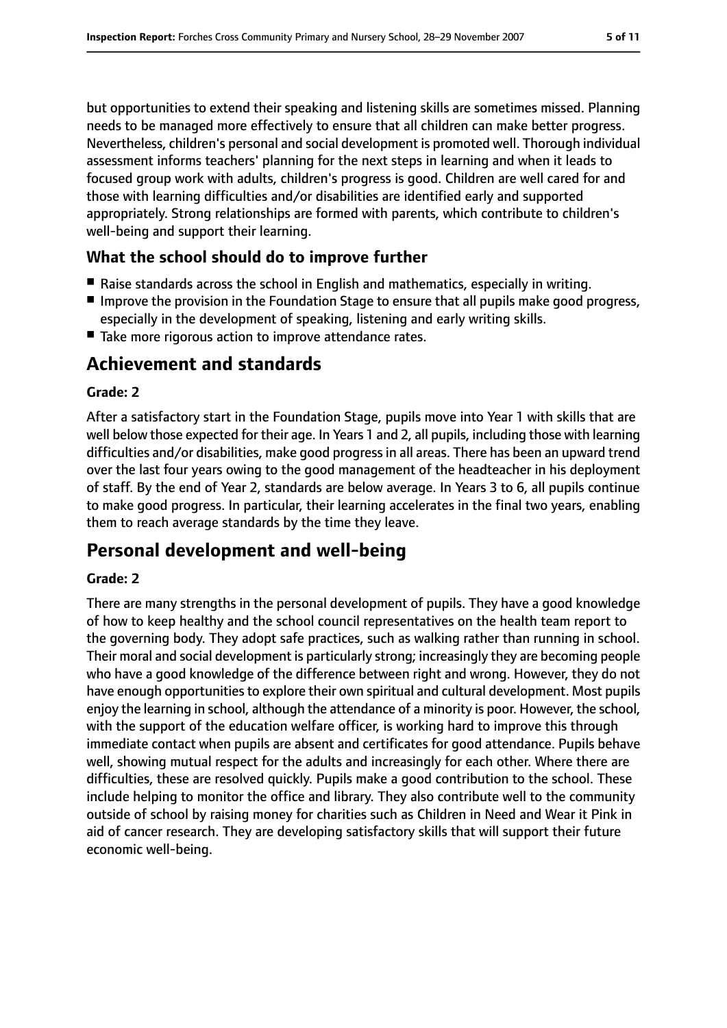but opportunities to extend their speaking and listening skills are sometimes missed. Planning needs to be managed more effectively to ensure that all children can make better progress. Nevertheless, children's personal and social development is promoted well. Thorough individual assessment informs teachers' planning for the next steps in learning and when it leads to focused group work with adults, children's progress is good. Children are well cared for and those with learning difficulties and/or disabilities are identified early and supported appropriately. Strong relationships are formed with parents, which contribute to children's well-being and support their learning.

## **What the school should do to improve further**

- Raise standards across the school in English and mathematics, especially in writing.
- Improve the provision in the Foundation Stage to ensure that all pupils make good progress, especially in the development of speaking, listening and early writing skills.
- Take more rigorous action to improve attendance rates.

# **Achievement and standards**

#### **Grade: 2**

After a satisfactory start in the Foundation Stage, pupils move into Year 1 with skills that are well below those expected for their age. In Years 1 and 2, all pupils, including those with learning difficulties and/or disabilities, make good progressin all areas. There has been an upward trend over the last four years owing to the good management of the headteacher in his deployment of staff. By the end of Year 2, standards are below average. In Years 3 to 6, all pupils continue to make good progress. In particular, their learning accelerates in the final two years, enabling them to reach average standards by the time they leave.

# **Personal development and well-being**

#### **Grade: 2**

There are many strengths in the personal development of pupils. They have a good knowledge of how to keep healthy and the school council representatives on the health team report to the governing body. They adopt safe practices, such as walking rather than running in school. Their moral and social development is particularly strong; increasingly they are becoming people who have a good knowledge of the difference between right and wrong. However, they do not have enough opportunities to explore their own spiritual and cultural development. Most pupils enjoy the learning in school, although the attendance of a minority is poor. However, the school, with the support of the education welfare officer, is working hard to improve this through immediate contact when pupils are absent and certificates for good attendance. Pupils behave well, showing mutual respect for the adults and increasingly for each other. Where there are difficulties, these are resolved quickly. Pupils make a good contribution to the school. These include helping to monitor the office and library. They also contribute well to the community outside of school by raising money for charities such as Children in Need and Wear it Pink in aid of cancer research. They are developing satisfactory skills that will support their future economic well-being.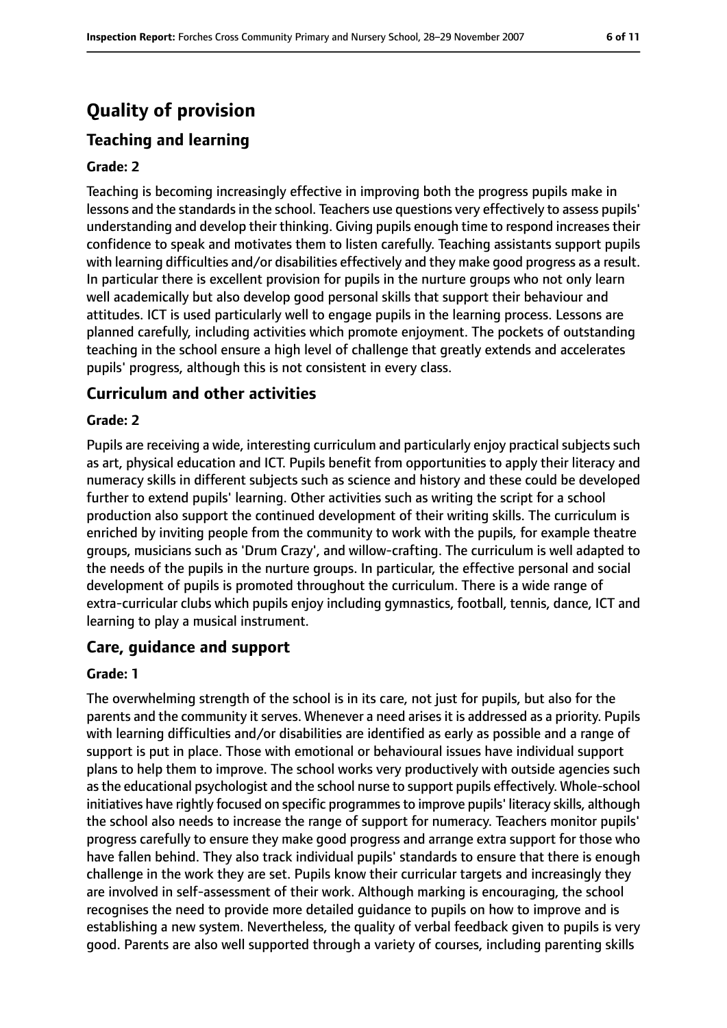# **Quality of provision**

# **Teaching and learning**

#### **Grade: 2**

Teaching is becoming increasingly effective in improving both the progress pupils make in lessons and the standards in the school. Teachers use questions very effectively to assess pupils' understanding and develop their thinking. Giving pupils enough time to respond increases their confidence to speak and motivates them to listen carefully. Teaching assistants support pupils with learning difficulties and/or disabilities effectively and they make good progress as a result. In particular there is excellent provision for pupils in the nurture groups who not only learn well academically but also develop good personal skills that support their behaviour and attitudes. ICT is used particularly well to engage pupils in the learning process. Lessons are planned carefully, including activities which promote enjoyment. The pockets of outstanding teaching in the school ensure a high level of challenge that greatly extends and accelerates pupils' progress, although this is not consistent in every class.

#### **Curriculum and other activities**

#### **Grade: 2**

Pupils are receiving a wide, interesting curriculum and particularly enjoy practical subjects such as art, physical education and ICT. Pupils benefit from opportunities to apply their literacy and numeracy skills in different subjects such as science and history and these could be developed further to extend pupils' learning. Other activities such as writing the script for a school production also support the continued development of their writing skills. The curriculum is enriched by inviting people from the community to work with the pupils, for example theatre groups, musicians such as 'Drum Crazy', and willow-crafting. The curriculum is well adapted to the needs of the pupils in the nurture groups. In particular, the effective personal and social development of pupils is promoted throughout the curriculum. There is a wide range of extra-curricular clubs which pupils enjoy including gymnastics, football, tennis, dance, ICT and learning to play a musical instrument.

#### **Care, guidance and support**

#### **Grade: 1**

The overwhelming strength of the school is in its care, not just for pupils, but also for the parents and the community it serves. Whenever a need arises it is addressed as a priority. Pupils with learning difficulties and/or disabilities are identified as early as possible and a range of support is put in place. Those with emotional or behavioural issues have individual support plans to help them to improve. The school works very productively with outside agencies such asthe educational psychologist and the school nurse to support pupils effectively. Whole-school initiatives have rightly focused on specific programmes to improve pupils' literacy skills, although the school also needs to increase the range of support for numeracy. Teachers monitor pupils' progress carefully to ensure they make good progress and arrange extra support for those who have fallen behind. They also track individual pupils' standards to ensure that there is enough challenge in the work they are set. Pupils know their curricular targets and increasingly they are involved in self-assessment of their work. Although marking is encouraging, the school recognises the need to provide more detailed guidance to pupils on how to improve and is establishing a new system. Nevertheless, the quality of verbal feedback given to pupils is very good. Parents are also well supported through a variety of courses, including parenting skills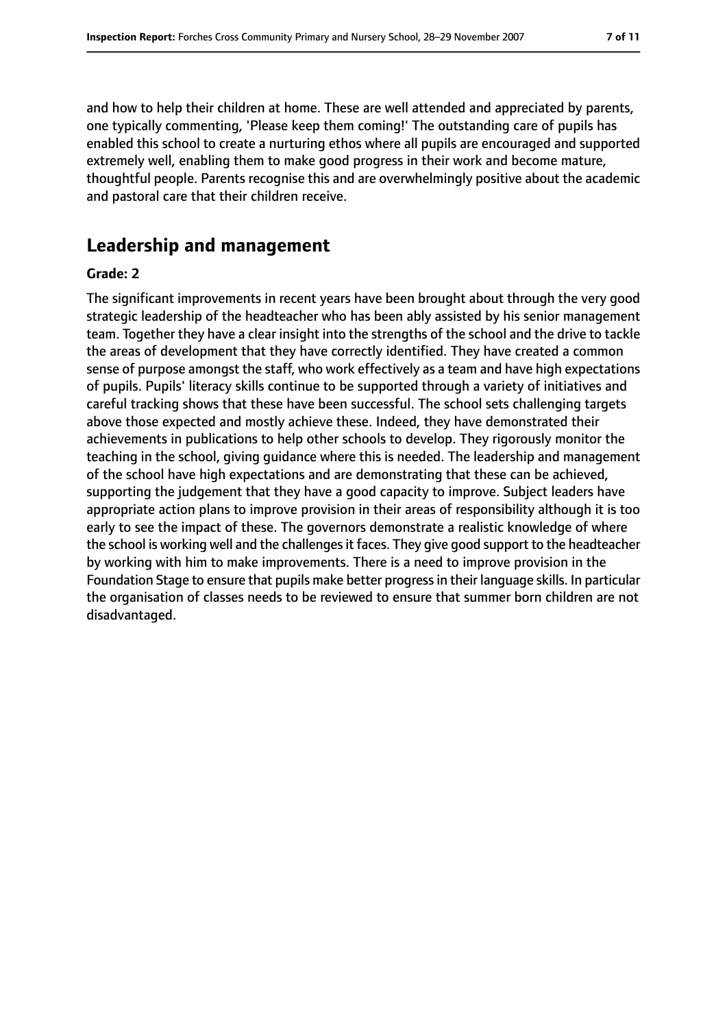and how to help their children at home. These are well attended and appreciated by parents, one typically commenting, 'Please keep them coming!' The outstanding care of pupils has enabled this school to create a nurturing ethos where all pupils are encouraged and supported extremely well, enabling them to make good progress in their work and become mature, thoughtful people. Parents recognise this and are overwhelmingly positive about the academic and pastoral care that their children receive.

# **Leadership and management**

#### **Grade: 2**

The significant improvements in recent years have been brought about through the very good strategic leadership of the headteacher who has been ably assisted by his senior management team. Together they have a clear insight into the strengths of the school and the drive to tackle the areas of development that they have correctly identified. They have created a common sense of purpose amongst the staff, who work effectively as a team and have high expectations of pupils. Pupils' literacy skills continue to be supported through a variety of initiatives and careful tracking shows that these have been successful. The school sets challenging targets above those expected and mostly achieve these. Indeed, they have demonstrated their achievements in publications to help other schools to develop. They rigorously monitor the teaching in the school, giving guidance where this is needed. The leadership and management of the school have high expectations and are demonstrating that these can be achieved, supporting the judgement that they have a good capacity to improve. Subject leaders have appropriate action plans to improve provision in their areas of responsibility although it is too early to see the impact of these. The governors demonstrate a realistic knowledge of where the school is working well and the challenges it faces. They give good support to the headteacher by working with him to make improvements. There is a need to improve provision in the Foundation Stage to ensure that pupils make better progressin their language skills. In particular the organisation of classes needs to be reviewed to ensure that summer born children are not disadvantaged.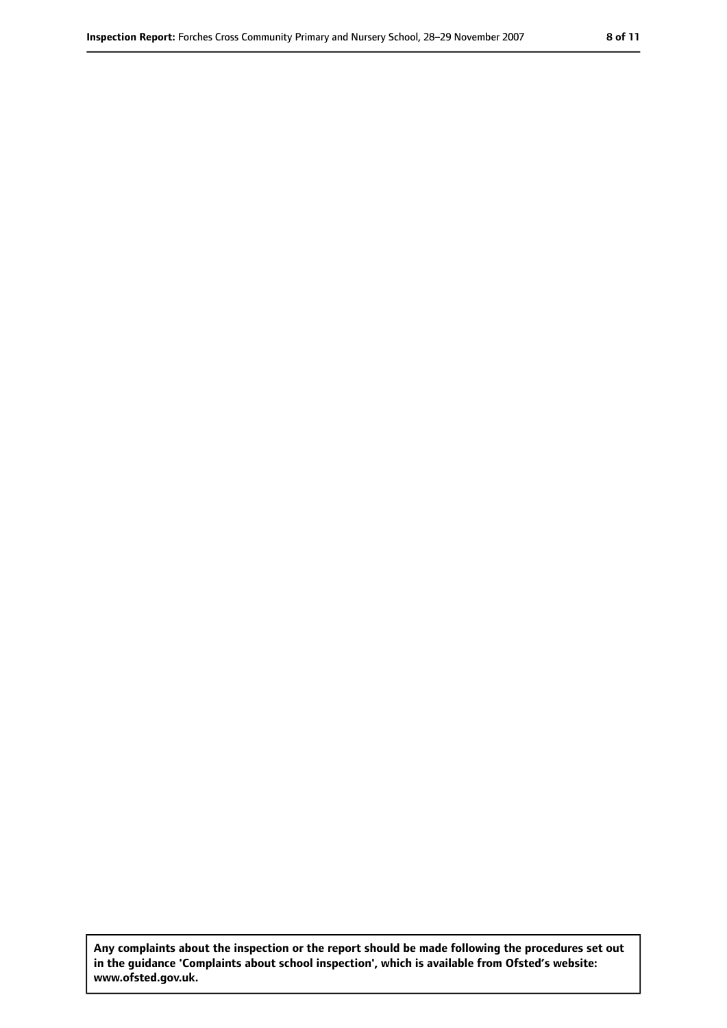**Any complaints about the inspection or the report should be made following the procedures set out in the guidance 'Complaints about school inspection', which is available from Ofsted's website: www.ofsted.gov.uk.**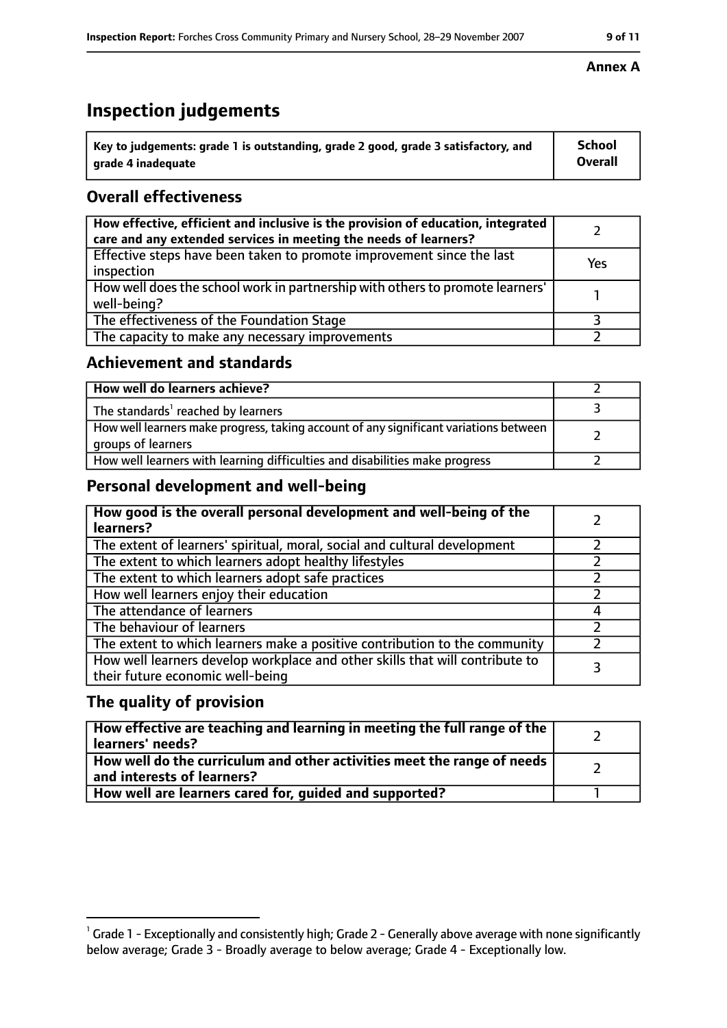# **Inspection judgements**

| ˈ Key to judgements: grade 1 is outstanding, grade 2 good, grade 3 satisfactory, and | <b>School</b>  |
|--------------------------------------------------------------------------------------|----------------|
| grade 4 inadequate                                                                   | <b>Overall</b> |

### **Overall effectiveness**

| How effective, efficient and inclusive is the provision of education, integrated<br>care and any extended services in meeting the needs of learners? |     |
|------------------------------------------------------------------------------------------------------------------------------------------------------|-----|
| Effective steps have been taken to promote improvement since the last<br>inspection                                                                  | Yes |
| How well does the school work in partnership with others to promote learners'<br>well-being?                                                         |     |
| The effectiveness of the Foundation Stage                                                                                                            |     |
| The capacity to make any necessary improvements                                                                                                      |     |

#### **Achievement and standards**

| How well do learners achieve?                                                                               |  |
|-------------------------------------------------------------------------------------------------------------|--|
| The standards <sup>1</sup> reached by learners                                                              |  |
| How well learners make progress, taking account of any significant variations between<br>groups of learners |  |
| How well learners with learning difficulties and disabilities make progress                                 |  |

### **Personal development and well-being**

| How good is the overall personal development and well-being of the<br>learners?                                  |  |
|------------------------------------------------------------------------------------------------------------------|--|
| The extent of learners' spiritual, moral, social and cultural development                                        |  |
| The extent to which learners adopt healthy lifestyles                                                            |  |
| The extent to which learners adopt safe practices                                                                |  |
| How well learners enjoy their education                                                                          |  |
| The attendance of learners                                                                                       |  |
| The behaviour of learners                                                                                        |  |
| The extent to which learners make a positive contribution to the community                                       |  |
| How well learners develop workplace and other skills that will contribute to<br>their future economic well-being |  |

#### **The quality of provision**

| How effective are teaching and learning in meeting the full range of the<br>learners' needs?          |  |
|-------------------------------------------------------------------------------------------------------|--|
| How well do the curriculum and other activities meet the range of needs<br>and interests of learners? |  |
| How well are learners cared for, quided and supported?                                                |  |

#### **Annex A**

 $^1$  Grade 1 - Exceptionally and consistently high; Grade 2 - Generally above average with none significantly below average; Grade 3 - Broadly average to below average; Grade 4 - Exceptionally low.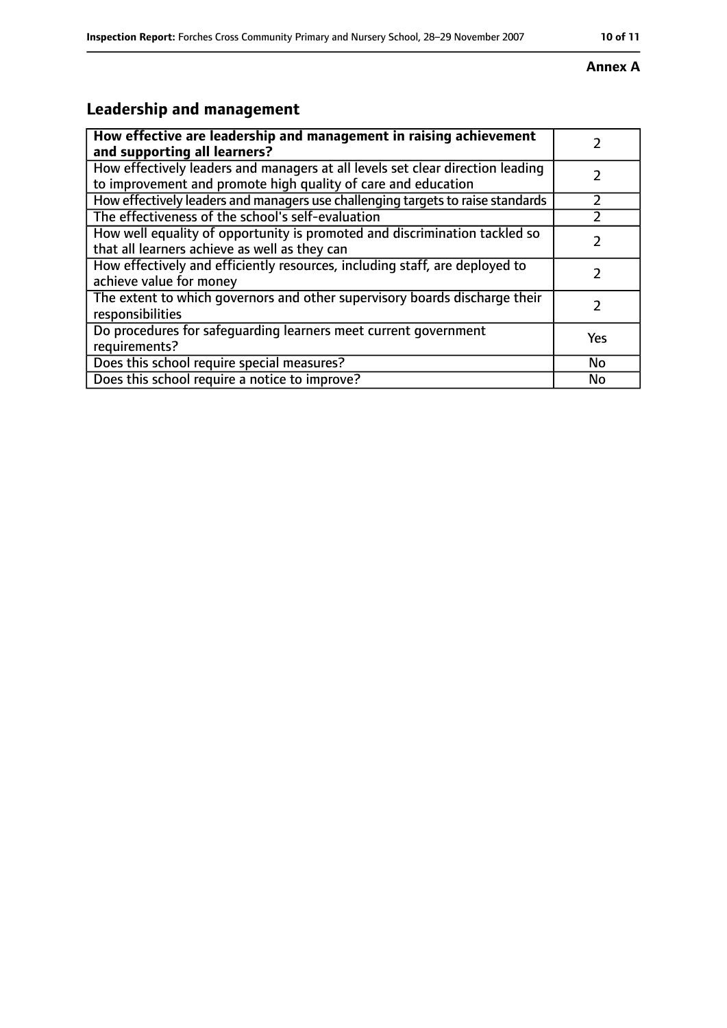#### **Annex A**

# **Leadership and management**

| How effective are leadership and management in raising achievement<br>and supporting all learners?                                              |     |
|-------------------------------------------------------------------------------------------------------------------------------------------------|-----|
| How effectively leaders and managers at all levels set clear direction leading<br>to improvement and promote high quality of care and education |     |
| How effectively leaders and managers use challenging targets to raise standards                                                                 |     |
| The effectiveness of the school's self-evaluation                                                                                               |     |
| How well equality of opportunity is promoted and discrimination tackled so<br>that all learners achieve as well as they can                     |     |
| How effectively and efficiently resources, including staff, are deployed to<br>achieve value for money                                          |     |
| The extent to which governors and other supervisory boards discharge their<br>responsibilities                                                  | 7   |
| Do procedures for safeguarding learners meet current government<br>requirements?                                                                | Yes |
| Does this school require special measures?                                                                                                      | No  |
| Does this school require a notice to improve?                                                                                                   | No  |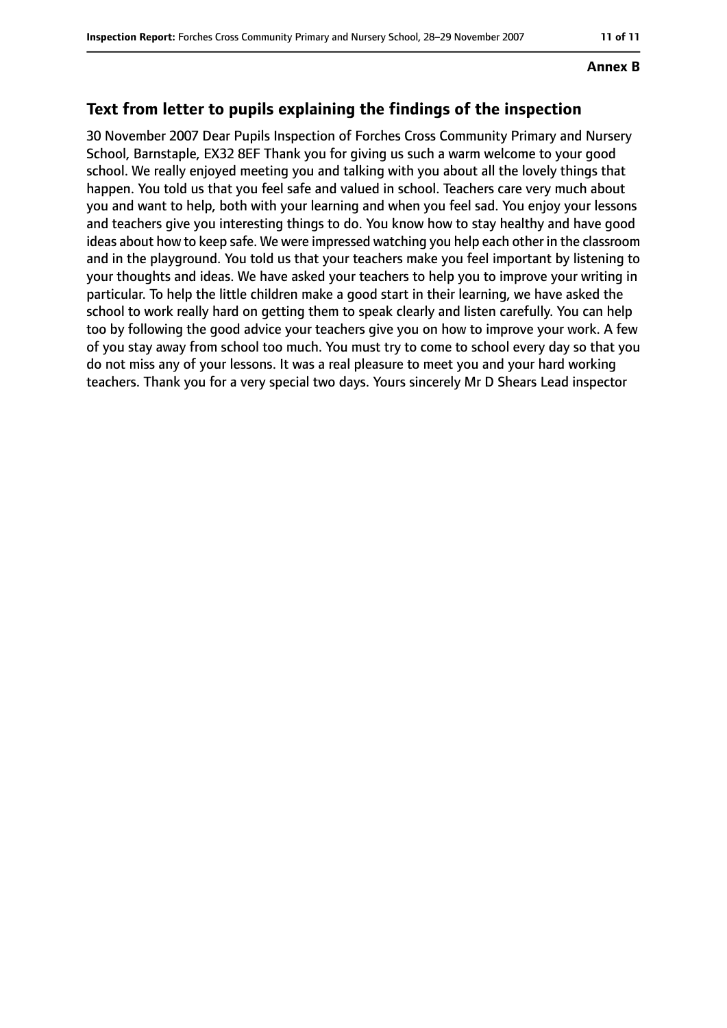#### **Annex B**

#### **Text from letter to pupils explaining the findings of the inspection**

30 November 2007 Dear Pupils Inspection of Forches Cross Community Primary and Nursery School, Barnstaple, EX32 8EF Thank you for giving us such a warm welcome to your good school. We really enjoyed meeting you and talking with you about all the lovely things that happen. You told us that you feel safe and valued in school. Teachers care very much about you and want to help, both with your learning and when you feel sad. You enjoy your lessons and teachers give you interesting things to do. You know how to stay healthy and have good ideas about how to keep safe. We were impressed watching you help each other in the classroom and in the playground. You told us that your teachers make you feel important by listening to your thoughts and ideas. We have asked your teachers to help you to improve your writing in particular. To help the little children make a good start in their learning, we have asked the school to work really hard on getting them to speak clearly and listen carefully. You can help too by following the good advice your teachers give you on how to improve your work. A few of you stay away from school too much. You must try to come to school every day so that you do not miss any of your lessons. It was a real pleasure to meet you and your hard working teachers. Thank you for a very special two days. Yours sincerely Mr D Shears Lead inspector